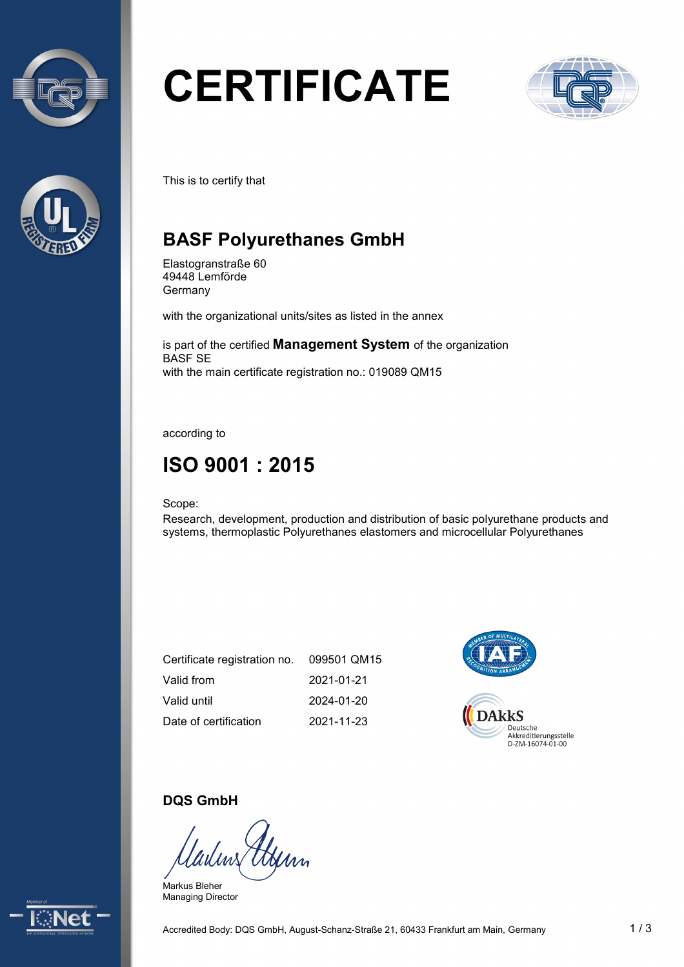



# **CERTIFICATE**



This is to certify that

# **BASF Polyurethanes GmbH**

Elastogranstraße 60 49448 Lemförde Germany

with the organizational units/sites as listed in the annex

is part of the certified **Management System** of the organization BASF SE with the main certificate registration no.: 019089 QM15

according to

# **ISO 9001 : 2015**

Scope:

Research, development, production and distribution of basic polyurethane products and systems, thermoplastic Polyurethanes elastomers and microcellular Polyurethanes

| Certificate registration no. | 099501 QM15 |
|------------------------------|-------------|
| Valid from                   | 2021-01-21  |
| Valid until                  | 2024-01-20  |
| Date of certification        | 2021-11-23  |



#### **DQS GmbH**

Afim

Markus Bleher Managing Director

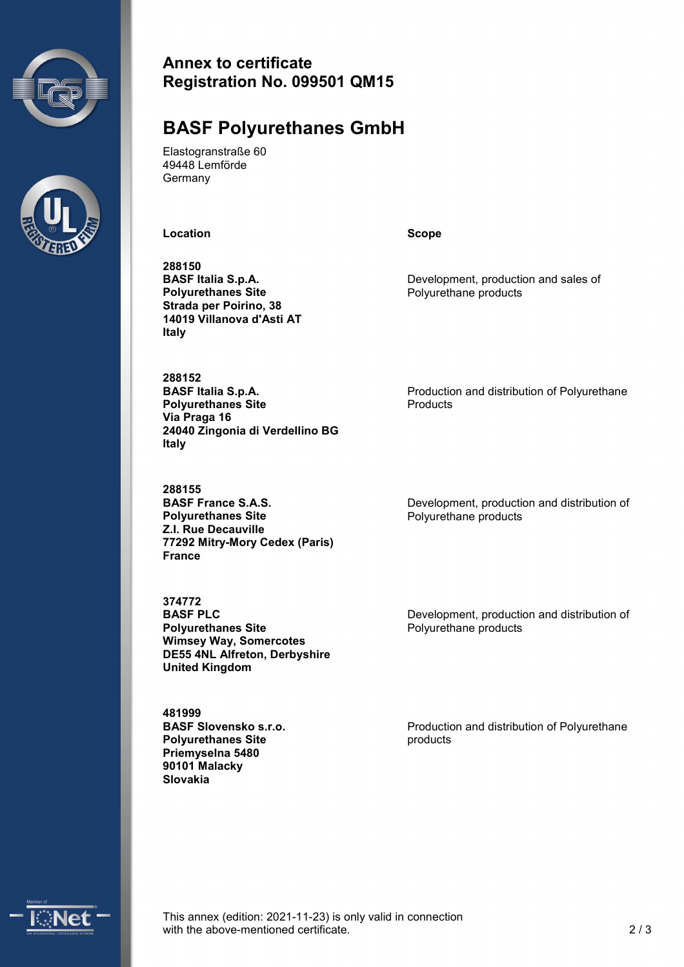



#### **Annex to certificate Registration No. 099501 QM15**

### **BASF Polyurethanes GmbH**

Elastogranstraße 60 49448 Lemförde Germany

**Location Scope**

**288150 BASF Italia S.p.A. Polyurethanes Site Strada per Poirino, 38 14019 Villanova d'Asti AT Italy**

**288152 BASF Italia S.p.A. Polyurethanes Site Via Praga 16 24040 Zingonia di Verdellino BG Italy**

**288155 BASF France S.A.S. Polyurethanes Site Z.I. Rue Decauville 77292 Mitry-Mory Cedex (Paris) France**

**374772 BASF PLC Polyurethanes Site Wimsey Way, Somercotes DE55 4NL Alfreton, Derbyshire United Kingdom**

**481999 BASF Slovensko s.r.o. Polyurethanes Site Priemyselna 5480 90101 Malacky Slovakia**

Development, production and sales of Polyurethane products

Production and distribution of Polyurethane Products

Development, production and distribution of Polyurethane products

Development, production and distribution of Polyurethane products

Production and distribution of Polyurethane products



This annex (edition: 2021-11-23) is only valid in connection with the above-mentioned certificate. 2/3